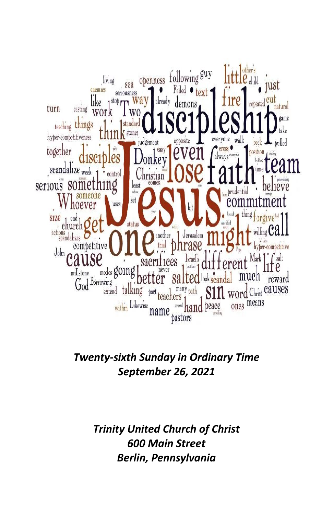

*Twenty-sixth Sunday in Ordinary Time September 26, 2021*

> *Trinity United Church of Christ 600 Main Street Berlin, Pennsylvania*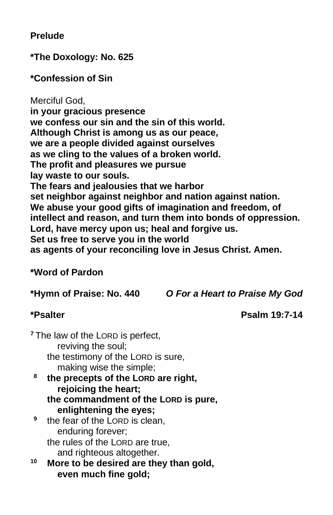## **Prelude**

**\*The Doxology: No. 625**

**\*Confession of Sin**

Merciful God, **in your gracious presence we confess our sin and the sin of this world. Although Christ is among us as our peace, we are a people divided against ourselves as we cling to the values of a broken world. The profit and pleasures we pursue lay waste to our souls. The fears and jealousies that we harbor set neighbor against neighbor and nation against nation. We abuse your good gifts of imagination and freedom, of intellect and reason, and turn them into bonds of oppression. Lord, have mercy upon us; heal and forgive us. Set us free to serve you in the world as agents of your reconciling love in Jesus Christ. Amen.** 

#### **\*Word of Pardon**

**\*Hymn of Praise: No. 440** *O For a Heart to Praise My God*

**\*Psalter Psalm 19:7-14**

<sup>7</sup> The law of the LORD is perfect, reviving the soul; the testimony of the LORD is sure, making wise the simple; **8 the precepts of the LORD are right, rejoicing the heart;** 

- **the commandment of the LORD is pure, enlightening the eyes;**
- **9** the fear of the LORD is clean, enduring forever; the rules of the LORD are true, and righteous altogether.
- **<sup>10</sup> More to be desired are they than gold, even much fine gold;**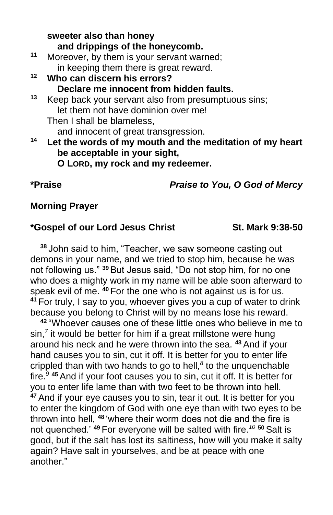**sweeter also than honey and drippings of the honeycomb. <sup>11</sup>** Moreover, by them is your servant warned; in keeping them there is great reward. **<sup>12</sup> Who can discern his errors? Declare me innocent from hidden faults. <sup>13</sup>** Keep back your servant also from presumptuous sins; let them not have dominion over me! Then I shall be blameless, and innocent of great transgression. **<sup>14</sup> Let the words of my mouth and the meditation of my heart be acceptable in your sight, O LORD, my rock and my redeemer.** 

**\*Praise** *Praise to You, O God of Mercy*

# **Morning Prayer**

## **\*Gospel of our Lord Jesus Christ St. Mark 9:38-50**

**<sup>38</sup>** John said to him, "Teacher, we saw someone casting out demons in your name, and we tried to stop him, because he was not following us." **<sup>39</sup>** But Jesus said, "Do not stop him, for no one who does a mighty work in my name will be able soon afterward to speak evil of me. **<sup>40</sup>** For the one who is not against us is for us. **<sup>41</sup>** For truly, I say to you, whoever gives you a cup of water to drink because you belong to Christ will by no means lose his reward.

**<sup>42</sup>** "Whoever causes one of these little ones who believe in me to sin,*<sup>7</sup>* it would be better for him if a great millstone were hung around his neck and he were thrown into the sea. **<sup>43</sup>** And if your hand causes you to sin, cut it off. It is better for you to enter life crippled than with two hands to go to hell,*<sup>8</sup>* to the unquenchable fire.*<sup>9</sup>* **<sup>45</sup>** And if your foot causes you to sin, cut it off. It is better for you to enter life lame than with two feet to be thrown into hell. **<sup>47</sup>** And if your eye causes you to sin, tear it out. It is better for you to enter the kingdom of God with one eye than with two eyes to be thrown into hell, **<sup>48</sup>** 'where their worm does not die and the fire is not quenched.' **<sup>49</sup>** For everyone will be salted with fire.*<sup>10</sup>* **<sup>50</sup>** Salt is good, but if the salt has lost its saltiness, how will you make it salty again? Have salt in yourselves, and be at peace with one another."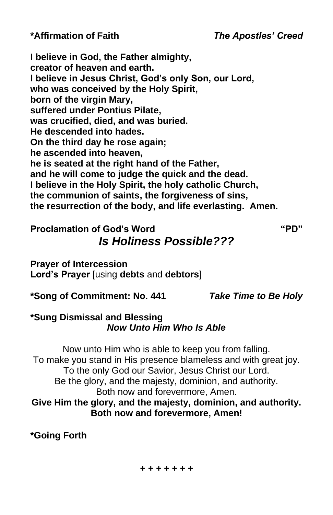**\*Affirmation of Faith** *The Apostles' Creed*

**I believe in God, the Father almighty, creator of heaven and earth. I believe in Jesus Christ, God's only Son, our Lord, who was conceived by the Holy Spirit, born of the virgin Mary, suffered under Pontius Pilate, was crucified, died, and was buried. He descended into hades. On the third day he rose again; he ascended into heaven, he is seated at the right hand of the Father, and he will come to judge the quick and the dead. I believe in the Holy Spirit, the holy catholic Church, the communion of saints, the forgiveness of sins, the resurrection of the body, and life everlasting. Amen.**

# **Proclamation of God's Word "PD"** *Is Holiness Possible???*

**Prayer of Intercession Lord's Prayer** [using **debts** and **debtors**]

**\*Song of Commitment: No. 441** *Take Time to Be Holy*

## **\*Sung Dismissal and Blessing** *Now Unto Him Who Is Able*

Now unto Him who is able to keep you from falling. To make you stand in His presence blameless and with great joy. To the only God our Savior, Jesus Christ our Lord. Be the glory, and the majesty, dominion, and authority. Both now and forevermore, Amen. **Give Him the glory, and the majesty, dominion, and authority. Both now and forevermore, Amen!**

**\*Going Forth**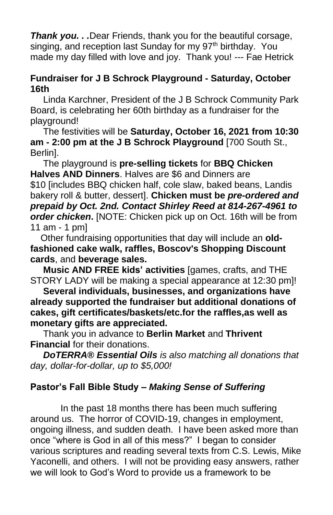**Thank you...** Dear Friends, thank you for the beautiful corsage, singing, and reception last Sunday for my 97<sup>th</sup> birthday. You made my day filled with love and joy. Thank you! --- Fae Hetrick

## **Fundraiser for J B Schrock Playground - Saturday, October 16th**

Linda Karchner, President of the J B Schrock Community Park Board, is celebrating her 60th birthday as a fundraiser for the playground!

The festivities will be **Saturday, October 16, 2021 from 10:30 am - 2:00 pm at the J B Schrock Playground** [700 South St., Berlin].

The playground is **pre-selling tickets** for **BBQ Chicken Halves AND Dinners**. Halves are \$6 and Dinners are \$10 [includes BBQ chicken half, cole slaw, baked beans, Landis bakery roll & butter, dessert]. **Chicken must be** *pre-ordered and prepaid by Oct. 2nd. Contact Shirley Reed at 814-267-4961 to order chicken***.** [NOTE: Chicken pick up on Oct. 16th will be from 11 am - 1 pm]

Other fundraising opportunities that day will include an **oldfashioned cake walk, raffles, Boscov's Shopping Discount cards**, and **beverage sales.**

**Music AND FREE kids' activities** [games, crafts, and THE STORY LADY will be making a special appearance at 12:30 pm]!

**Several individuals, businesses, and organizations have already supported the fundraiser but additional donations of cakes, gift certificates/baskets/etc.for the raffles,as well as monetary gifts are appreciated.** 

Thank you in advance to **Berlin Market** and **Thrivent Financial** for their donations.

*DoTERRA® Essential Oils is also matching all donations that day, dollar-for-dollar, up to \$5,000!*

# **Pastor's Fall Bible Study –** *Making Sense of Suffering*

In the past 18 months there has been much suffering around us. The horror of COVID-19, changes in employment, ongoing illness, and sudden death. I have been asked more than once "where is God in all of this mess?" I began to consider various scriptures and reading several texts from C.S. Lewis, Mike Yaconelli, and others. I will not be providing easy answers, rather we will look to God's Word to provide us a framework to be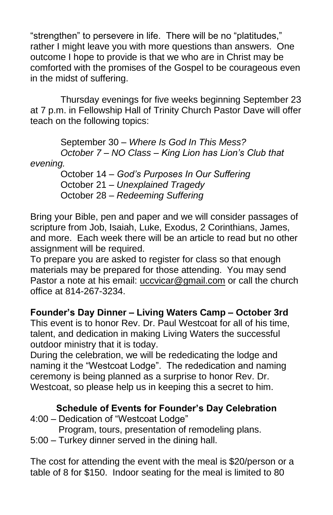"strengthen" to persevere in life. There will be no "platitudes," rather I might leave you with more questions than answers. One outcome I hope to provide is that we who are in Christ may be comforted with the promises of the Gospel to be courageous even in the midst of suffering.

Thursday evenings for five weeks beginning September 23 at 7 p.m. in Fellowship Hall of Trinity Church Pastor Dave will offer teach on the following topics:

September 30 – *Where Is God In This Mess? October 7 – NO Class – King Lion has Lion's Club that evening.*

October 14 – *God's Purposes In Our Suffering* October 21 – *Unexplained Tragedy* October 28 – *Redeeming Suffering*

Bring your Bible, pen and paper and we will consider passages of scripture from Job, Isaiah, Luke, Exodus, 2 Corinthians, James, and more. Each week there will be an article to read but no other assignment will be required.

To prepare you are asked to register for class so that enough materials may be prepared for those attending. You may send Pastor a note at his email: [uccvicar@gmail.com](mailto:uccvicar@gmail.com) or call the church office at 814-267-3234.

**Founder's Day Dinner – Living Waters Camp – October 3rd**

This event is to honor Rev. Dr. Paul Westcoat for all of his time, talent, and dedication in making Living Waters the successful outdoor ministry that it is today.

During the celebration, we will be rededicating the lodge and naming it the "Westcoat Lodge". The rededication and naming ceremony is being planned as a surprise to honor Rev. Dr. Westcoat, so please help us in keeping this a secret to him.

# **Schedule of Events for Founder's Day Celebration**

4:00 – Dedication of "Westcoat Lodge"

Program, tours, presentation of remodeling plans.

5:00 – Turkey dinner served in the dining hall.

The cost for attending the event with the meal is \$20/person or a table of 8 for \$150. Indoor seating for the meal is limited to 80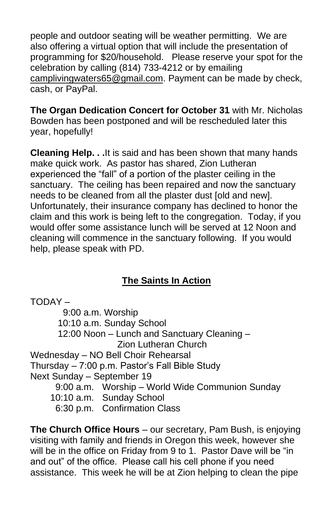people and outdoor seating will be weather permitting. We are also offering a virtual option that will include the presentation of programming for \$20/household. Please reserve your spot for the celebration by calling (814) 733-4212 or by emailing [camplivingwaters65@gmail.com.](mailto:camplivingwaters65@gmail.com) Payment can be made by check, cash, or PayPal.

**The Organ Dedication Concert for October 31** with Mr. Nicholas Bowden has been postponed and will be rescheduled later this year, hopefully!

**Cleaning Help. . .**It is said and has been shown that many hands make quick work. As pastor has shared, Zion Lutheran experienced the "fall" of a portion of the plaster ceiling in the sanctuary. The ceiling has been repaired and now the sanctuary needs to be cleaned from all the plaster dust [old and new]. Unfortunately, their insurance company has declined to honor the claim and this work is being left to the congregation. Today, if you would offer some assistance lunch will be served at 12 Noon and cleaning will commence in the sanctuary following. If you would help, please speak with PD.

# **The Saints In Action**

TODAY – 9:00 a.m. Worship 10:10 a.m. Sunday School 12:00 Noon – Lunch and Sanctuary Cleaning – Zion Lutheran Church Wednesday – NO Bell Choir Rehearsal Thursday – 7:00 p.m. Pastor's Fall Bible Study Next Sunday – September 19 9:00 a.m. Worship – World Wide Communion Sunday 10:10 a.m. Sunday School 6:30 p.m. Confirmation Class

**The Church Office Hours** – our secretary, Pam Bush, is enjoying visiting with family and friends in Oregon this week, however she will be in the office on Friday from 9 to 1. Pastor Dave will be "in and out" of the office. Please call his cell phone if you need assistance. This week he will be at Zion helping to clean the pipe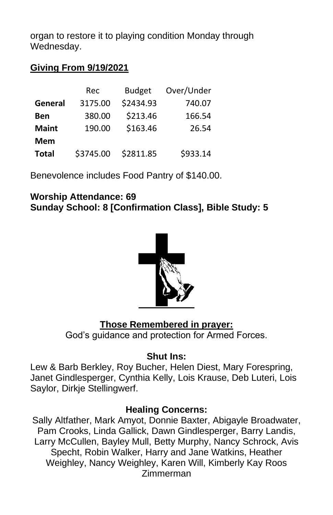organ to restore it to playing condition Monday through Wednesday.

## **Giving From 9/19/2021**

|              | Rec       | <b>Budget</b> | Over/Under |
|--------------|-----------|---------------|------------|
| General      | 3175.00   | \$2434.93     | 740.07     |
| Ben          | 380.00    | \$213.46      | 166.54     |
| <b>Maint</b> | 190.00    | \$163.46      | 26.54      |
| <b>Mem</b>   |           |               |            |
| <b>Total</b> | \$3745.00 | \$2811.85     | \$933.14   |

Benevolence includes Food Pantry of \$140.00.

#### **Worship Attendance: 69 Sunday School: 8 [Confirmation Class], Bible Study: 5**



## **Those Remembered in prayer:**

God's guidance and protection for Armed Forces.

#### **Shut Ins:**

Lew & Barb Berkley, Roy Bucher, Helen Diest, Mary Forespring, Janet Gindlesperger, Cynthia Kelly, Lois Krause, Deb Luteri, Lois Saylor, Dirkje Stellingwerf.

#### **Healing Concerns:**

Sally Altfather, Mark Amyot, Donnie Baxter, Abigayle Broadwater, Pam Crooks, Linda Gallick, Dawn Gindlesperger, Barry Landis, Larry McCullen, Bayley Mull, Betty Murphy, Nancy Schrock, Avis Specht, Robin Walker, Harry and Jane Watkins, Heather Weighley, Nancy Weighley, Karen Will, Kimberly Kay Roos Zimmerman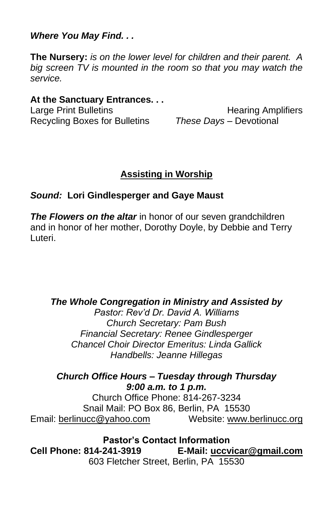*Where You May Find. . .*

**The Nursery:** *is on the lower level for children and their parent. A big screen TV is mounted in the room so that you may watch the service.*

### **At the Sanctuary Entrances. . .**

Recycling Boxes for Bulletins *These Days –* Devotional

Large Print Bulletins **Example 20** Hearing Amplifiers

# **Assisting in Worship**

### *Sound:* **Lori Gindlesperger and Gaye Maust**

*The Flowers on the altar* in honor of our seven grandchildren and in honor of her mother, Dorothy Doyle, by Debbie and Terry Luteri.

#### *The Whole Congregation in Ministry and Assisted by*

*Pastor: Rev'd Dr. David A. Williams Church Secretary: Pam Bush Financial Secretary: Renee Gindlesperger Chancel Choir Director Emeritus: Linda Gallick Handbells: Jeanne Hillegas*

#### *Church Office Hours – Tuesday through Thursday 9:00 a.m. to 1 p.m.*

Church Office Phone: 814-267-3234 Snail Mail: PO Box 86, Berlin, PA 15530 Email: [berlinucc@yahoo.com](mailto:berlinucc@yahoo.com) Website: [www.berlinucc.org](http://www.berlinucc.org/)

**Pastor's Contact Information Cell Phone: 814-241-3919 E-Mail: [uccvicar@gmail.com](mailto:uccvicar@gmail.com)** 603 Fletcher Street, Berlin, PA 15530